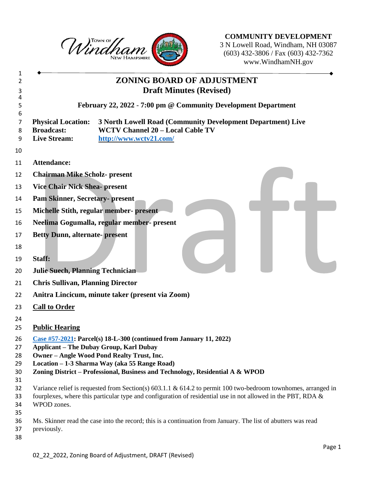

**COMMUNITY DEVELOPMENT** N Lowell Road, Windham, NH 03087 (603) 432-3806 / Fax (603) 432-7362 www.WindhamNH.gov

|                                                                       | <b>ZONING BOARD OF ADJUSTMENT</b><br><b>Draft Minutes (Revised)</b>                                                              |
|-----------------------------------------------------------------------|----------------------------------------------------------------------------------------------------------------------------------|
|                                                                       | February 22, 2022 - 7:00 pm @ Community Development Department                                                                   |
| <b>Physical Location:</b><br><b>Broadcast:</b><br><b>Live Stream:</b> | 3 North Lowell Road (Community Development Department) Live<br><b>WCTV Channel 20 - Local Cable TV</b><br>http://www.wctv21.com/ |
| <b>Attendance:</b>                                                    |                                                                                                                                  |
| <b>Chairman Mike Scholz- present</b>                                  |                                                                                                                                  |
| <b>Vice Chair Nick Shea- present</b>                                  |                                                                                                                                  |
| <b>Pam Skinner, Secretary- present</b>                                |                                                                                                                                  |
|                                                                       | Michelle Stith, regular member- present                                                                                          |
|                                                                       | Neelima Gogumalla, regular member- present                                                                                       |
| <b>Betty Dunn, alternate-present</b>                                  |                                                                                                                                  |
|                                                                       |                                                                                                                                  |
| Staff:                                                                |                                                                                                                                  |
| <b>Julie Suech, Planning Technician</b>                               |                                                                                                                                  |
| <b>Chris Sullivan, Planning Director</b>                              |                                                                                                                                  |
|                                                                       | Anitra Lincicum, minute taker (present via Zoom)                                                                                 |
|                                                                       |                                                                                                                                  |
| <b>Call to Order</b>                                                  |                                                                                                                                  |
| <b>Public Hearing</b>                                                 |                                                                                                                                  |
|                                                                       | Case #57-2021: Parcel(s) 18-L-300 (continued from January 11, 2022)                                                              |
|                                                                       | <b>Applicant - The Dubay Group, Karl Dubay</b><br><b>Owner - Angle Wood Pond Realty Trust, Inc.</b>                              |
|                                                                       | Location - 1-3 Sharma Way (aka 55 Range Road)                                                                                    |
|                                                                       | Zoning District – Professional, Business and Technology, Residential A & WPOD                                                    |
|                                                                       | Variance relief is requested from Section(s) $603.1.1 \& 614.2$ to permit 100 two-bedroom townhomes, arranged in                 |
|                                                                       | fourplexes, where this particular type and configuration of residential use in not allowed in the PBT, RDA &                     |
| WPOD zones.                                                           |                                                                                                                                  |
|                                                                       |                                                                                                                                  |
| previously.                                                           | Ms. Skinner read the case into the record; this is a continuation from January. The list of abutters was read                    |
|                                                                       |                                                                                                                                  |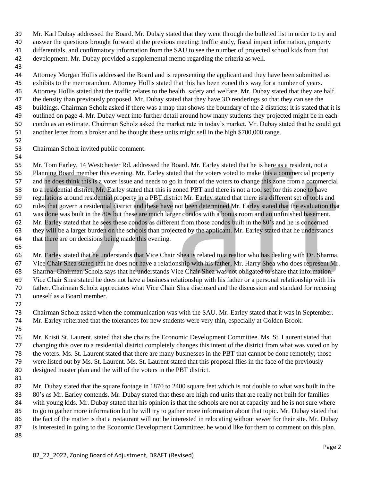Mr. Karl Dubay addressed the Board. Mr. Dubay stated that they went through the bulleted list in order to try and answer the questions brought forward at the previous meeting: traffic study, fiscal impact information, property differentials, and confirmatory information from the SAU to see the number of projected school kids from that

development. Mr. Dubay provided a supplemental memo regarding the criteria as well.

 Attorney Morgan Hollis addressed the Board and is representing the applicant and they have been submitted as exhibits to the memorandum. Attorney Hollis stated that this has been zoned this way for a number of years. Attorney Hollis stated that the traffic relates to the health, safety and welfare. Mr. Dubay stated that they are half the density than previously proposed. Mr. Dubay stated that they have 3D renderings so that they can see the buildings. Chairman Scholz asked if there was a map that shows the boundary of the 2 districts; it is stated that it is outlined on page 4. Mr. Dubay went into further detail around how many students they projected might be in each condo as an estimate. Chairman Scholz asked the market rate in today's market. Mr. Dubay stated that he could get another letter from a broker and he thought these units might sell in the high \$700,000 range.

Chairman Scholz invited public comment.

 Mr. Tom Earley, 14 Westchester Rd. addressed the Board. Mr. Earley stated that he is here as a resident, not a Planning Board member this evening. Mr. Earley stated that the voters voted to make this a commercial property and he does think this is a voter issue and needs to go in front of the voters to change this zone from a commercial to a residential district. Mr. Earley stated that this is zoned PBT and there is not a tool set for this zone to have regulations around residential property in a PBT district Mr. Earley stated that there is a different set of tools and rules that govern a residential district and these have not been determined Mr. Earley stated that the evaluation that was done was built in the 80s but these are much larger condos with a bonus room and an unfinished basement. Mr. Earley stated that he sees these condos as different from those condos built in the 80's and he is concerned they will be a larger burden on the schools than projected by the applicant. Mr. Earley stated that he understands that there are on decisions being made this evening.

 Mr. Earley stated that he understands that Vice Chair Shea is related to a realtor who has dealing with Dr. Sharma. Vice Chair Shea stated that he does not have a relationship with his father, Mr. Harry Shea who does represent Mr. Sharma. Chairman Scholz says that he understands Vice Chair Shea was not obligated to share that information. Vice Chair Shea stated he does not have a business relationship with his father or a personal relationship with his father. Chairman Scholz appreciates what Vice Chair Shea disclosed and the discussion and standard for recusing oneself as a Board member.

 Chairman Scholz asked when the communication was with the SAU. Mr. Earley stated that it was in September. Mr. Earley reiterated that the tolerances for new students were very thin, especially at Golden Brook.

 Mr. Kristi St. Laurent, stated that she chairs the Economic Development Committee. Ms. St. Laurent stated that changing this over to a residential district completely changes this intent of the district from what was voted on by the voters. Ms. St. Laurent stated that there are many businesses in the PBT that cannot be done remotely; those were listed out by Ms. St. Laurent. Ms. St. Laurent stated that this proposal flies in the face of the previously designed master plan and the will of the voters in the PBT district.

 Mr. Dubay stated that the square footage in 1870 to 2400 square feet which is not double to what was built in the 83 80's as Mr. Earley contends. Mr. Dubay stated that these are high end units that are really not built for families 84 with young kids. Mr. Dubay stated that his opinion is that the schools are not at capacity and he is not sure where to go to gather more information but he will try to gather more information about that topic. Mr. Dubay stated that the fact of the matter is that a restaurant will not be interested in relocating without sewer for their site. Mr. Dubay is interested in going to the Economic Development Committee; he would like for them to comment on this plan.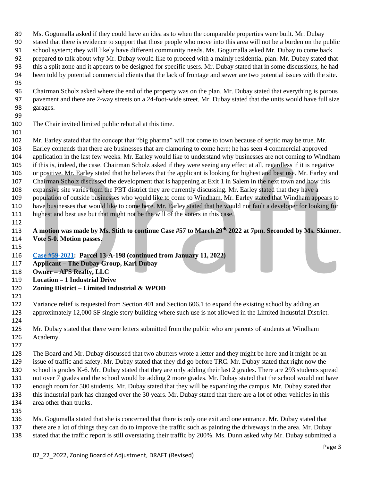- Ms. Gogumalla asked if they could have an idea as to when the comparable properties were built. Mr. Dubay stated that there is evidence to support that those people who move into this area will not be a burden on the public school system; they will likely have different community needs. Ms. Gogumalla asked Mr. Dubay to come back prepared to talk about why Mr. Dubay would like to proceed with a mainly residential plan. Mr. Dubay stated that this a split zone and it appears to be designed for specific users. Mr. Dubay stated that in some discussions, he had been told by potential commercial clients that the lack of frontage and sewer are two potential issues with the site.
- 
- Chairman Scholz asked where the end of the property was on the plan. Mr. Dubay stated that everything is porous pavement and there are 2-way streets on a 24-foot-wide street. Mr. Dubay stated that the units would have full size garages.
- 

The Chair invited limited public rebuttal at this time.

 Mr. Earley stated that the concept that "big pharma" will not come to town because of septic may be true. Mr. Earley contends that there are businesses that are clamoring to come here; he has seen 4 commercial approved application in the last few weeks. Mr. Earley would like to understand why businesses are not coming to Windham if this is, indeed, the case. Chairman Scholz asked if they were seeing any effect at all, regardless if it is negative or positive. Mr. Earley stated that he believes that the applicant is looking for highest and best use. Mr. Earley and Chairman Scholz discussed the development that is happening at Exit 1 in Salem in the next town and how this expansive site varies from the PBT district they are currently discussing. Mr. Earley stated that they have a population of outside businesses who would like to come to Windham. Mr. Earley stated that Windham appears to have businesses that would like to come here. Mr. Earley stated that he would not fault a developer for looking for

highest and best use but that might not be the will of the voters in this case.

**A motion was made by Ms. Stith to continue Case #57 to March 29th, 2022 at 7pm. Seconded by Ms. Skinner. Vote 5-0. Motion passes.** 

- **[Case #59-2021:](https://nh-windham.civicplus.com/DocumentCenter/Index/815) Parcel 13-A-198 (continued from January 11, 2022)**
- **Applicant – The Dubay Group, Karl Dubay**
- **Owner – AFS Realty, LLC**
- **Location – 1 Industrial Drive**
- **Zoning District – Limited Industrial & WPOD**
- 

 Variance relief is requested from Section 401 and Section 606.1 to expand the existing school by adding an approximately 12,000 SF single story building where such use is not allowed in the Limited Industrial District.

 Mr. Dubay stated that there were letters submitted from the public who are parents of students at Windham Academy.

 The Board and Mr. Dubay discussed that two abutters wrote a letter and they might be here and it might be an issue of traffic and safety. Mr. Dubay stated that they did go before TRC. Mr. Dubay stated that right now the school is grades K-6. Mr. Dubay stated that they are only adding their last 2 grades. There are 293 students spread out over 7 grades and the school would be adding 2 more grades. Mr. Dubay stated that the school would not have enough room for 500 students. Mr. Dubay stated that they will be expanding the campus. Mr. Dubay stated that this industrial park has changed over the 30 years. Mr. Dubay stated that there are a lot of other vehicles in this area other than trucks.

 Ms. Gogumalla stated that she is concerned that there is only one exit and one entrance. Mr. Dubay stated that there are a lot of things they can do to improve the traffic such as painting the driveways in the area. Mr. Dubay stated that the traffic report is still overstating their traffic by 200%. Ms. Dunn asked why Mr. Dubay submitted a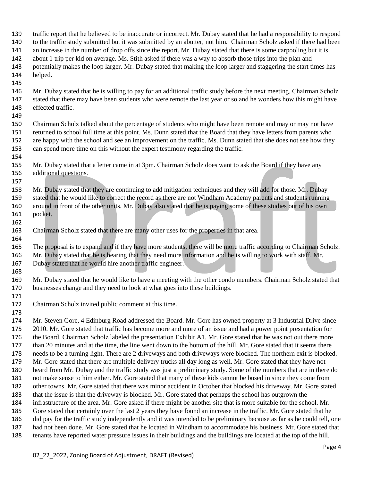- traffic report that he believed to be inaccurate or incorrect. Mr. Dubay stated that he had a responsibility to respond to the traffic study submitted but it was submitted by an abutter, not him. Chairman Scholz asked if there had been an increase in the number of drop offs since the report. Mr. Dubay stated that there is some carpooling but it is about 1 trip per kid on average. Ms. Stith asked if there was a way to absorb those trips into the plan and potentially makes the loop larger. Mr. Dubay stated that making the loop larger and staggering the start times has helped.
- 
- Mr. Dubay stated that he is willing to pay for an additional traffic study before the next meeting. Chairman Scholz stated that there may have been students who were remote the last year or so and he wonders how this might have effected traffic.
- 

 Chairman Scholz talked about the percentage of students who might have been remote and may or may not have returned to school full time at this point. Ms. Dunn stated that the Board that they have letters from parents who are happy with the school and see an improvement on the traffic. Ms. Dunn stated that she does not see how they can spend more time on this without the expert testimony regarding the traffic.

- Mr. Dubay stated that a letter came in at 3pm. Chairman Scholz does want to ask the Board if they have any additional questions.
- Mr. Dubay stated that they are continuing to add mitigation techniques and they will add for those. Mr. Dubay stated that he would like to correct the record as there are not Windham Academy parents and students running around in front of the other units. Mr. Dubay also stated that he is paying some of these studies out of his own pocket.
- Chairman Scholz stated that there are many other uses for the properties in that area.

 The proposal is to expand and if they have more students, there will be more traffic according to Chairman Scholz. Mr. Dubay stated that he is hearing that they need more information and he is willing to work with staff. Mr. 167 Dubay stated that he would hire another traffic engineer.

 Mr. Dubay stated that he would like to have a meeting with the other condo members. Chairman Scholz stated that businesses change and they need to look at what goes into these buildings.

Chairman Scholz invited public comment at this time.

 Mr. Steven Gore, 4 Edinburg Road addressed the Board. Mr. Gore has owned property at 3 Industrial Drive since 2010. Mr. Gore stated that traffic has become more and more of an issue and had a power point presentation for the Board. Chairman Scholz labeled the presentation Exhibit A1. Mr. Gore stated that he was not out there more 177 than 20 minutes and at the time, the line went down to the bottom of the hill. Mr. Gore stated that it seems there needs to be a turning light. There are 2 driveways and both driveways were blocked. The northern exit is blocked. Mr. Gore stated that there are multiple delivery trucks all day long as well. Mr. Gore stated that they have not heard from Mr. Dubay and the traffic study was just a preliminary study. Some of the numbers that are in there do not make sense to him either. Mr. Gore stated that many of these kids cannot be bused in since they come from other towns. Mr. Gore stated that there was minor accident in October that blocked his driveway. Mr. Gore stated that the issue is that the driveway is blocked. Mr. Gore stated that perhaps the school has outgrown the infrastructure of the area. Mr. Gore asked if there might be another site that is more suitable for the school. Mr. Gore stated that certainly over the last 2 years they have found an increase in the traffic. Mr. Gore stated that he did pay for the traffic study independently and it was intended to be preliminary because as far as he could tell, one had not been done. Mr. Gore stated that he located in Windham to accommodate his business. Mr. Gore stated that tenants have reported water pressure issues in their buildings and the buildings are located at the top of the hill.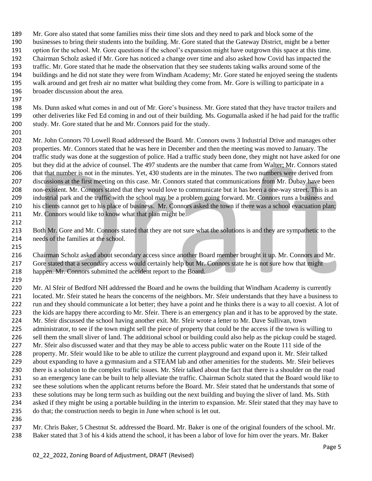Mr. Gore also stated that some families miss their time slots and they need to park and block some of the businesses to bring their students into the building. Mr. Gore stated that the Gateway District, might be a better option for the school. Mr. Gore questions if the school's expansion might have outgrown this space at this time. Chairman Scholz asked if Mr. Gore has noticed a change over time and also asked how Covid has impacted the traffic. Mr. Gore stated that he made the observation that they see students taking walks around some of the buildings and he did not state they were from Windham Academy; Mr. Gore stated he enjoyed seeing the students walk around and get fresh air no matter what building they come from. Mr. Gore is willing to participate in a broader discussion about the area.

 Ms. Dunn asked what comes in and out of Mr. Gore's business. Mr. Gore stated that they have tractor trailers and other deliveries like Fed Ed coming in and out of their building. Ms. Gogumalla asked if he had paid for the traffic study. Mr. Gore stated that he and Mr. Connors paid for the study.

 Mr. John Connors 70 Lowell Road addressed the Board. Mr. Connors owns 3 Industrial Drive and manages other properties. Mr. Connors stated that he was here in December and then the meeting was moved to January. The traffic study was done at the suggestion of police. Had a traffic study been done, they might not have asked for one but they did at the advice of counsel. The 497 students are the number that came from Walter; Mr. Connors stated that that number is not in the minutes. Yet, 430 students are in the minutes. The two numbers were derived from discussions at the first meeting on this case. Mr. Connors stated that communications from Mr. Dubay have been non-existent. Mr. Connors stated that they would love to communicate but it has been a one-way street. This is an industrial park and the traffic with the school may be a problem going forward. Mr. Connors runs a business and his clients cannot get to his place of business. Mr. Connors asked the town if there was a school evacuation plan; 211 Mr. Connors would like to know what that plan might be.

213 Both Mr. Gore and Mr. Connors stated that they are not sure what the solutions is and they are sympathetic to the needs of the families at the school.

 Chairman Scholz asked about secondary access since another Board member brought it up. Mr. Connors and Mr. Gore stated that a secondary access would certainly help but Mr. Connors state he is not sure how that might happen. Mr. Connors submitted the accident report to the Board.

 Mr. Al Sfeir of Bedford NH addressed the Board and he owns the building that Windham Academy is currently located. Mr. Sfeir stated he hears the concerns of the neighbors. Mr. Sfeir understands that they have a business to run and they should communicate a lot better; they have a point and he thinks there is a way to all coexist. A lot of the kids are happy there according to Mr. Sfeir. There is an emergency plan and it has to be approved by the state. Mr. Sfeir discussed the school having another exit. Mr. Sfeir wrote a letter to Mr. Dave Sullivan, town administrator, to see if the town might sell the piece of property that could be the access if the town is willing to sell them the small sliver of land. The additional school or building could also help as the pickup could be staged. 227 Mr. Sfeir also discussed water and that they may be able to access public water on the Route 111 side of the property. Mr. Sfeir would like to be able to utilize the current playground and expand upon it. Mr. Sfeir talked 229 about expanding to have a gymnasium and a STEAM lab and other amenities for the students. Mr. Sfeir believes there is a solution to the complex traffic issues. Mr. Sfeir talked about the fact that there is a shoulder on the road so an emergency lane can be built to help alleviate the traffic. Chairman Scholz stated that the Board would like to see these solutions when the applicant returns before the Board. Mr. Sfeir stated that he understands that some of these solutions may be long term such as building out the next building and buying the sliver of land. Ms. Stith asked if they might be using a portable building in the interim to expansion. Mr. Sfeir stated that they may have to do that; the construction needs to begin in June when school is let out.

 Mr. Chris Baker, 5 Chestnut St. addressed the Board. Mr. Baker is one of the original founders of the school. Mr. Baker stated that 3 of his 4 kids attend the school, it has been a labor of love for him over the years. Mr. Baker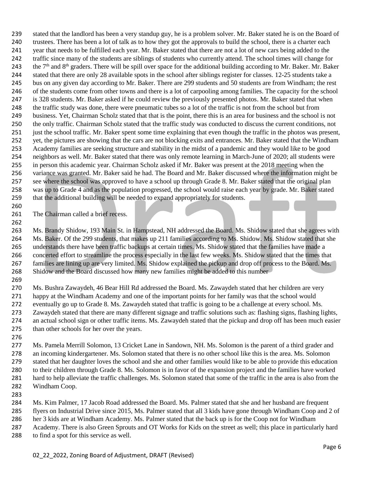stated that the landlord has been a very standup guy, he is a problem solver. Mr. Baker stated he is on the Board of trustees. There has been a lot of talk as to how they got the approvals to build the school, there is a charter each year that needs to be fulfilled each year. Mr. Baker stated that there are not a lot of new cars being added to the traffic since many of the students are siblings of students who currently attend. The school times will change for 243 the  $7<sup>th</sup>$  and  $8<sup>th</sup>$  graders. There will be spill over space for the additional building according to Mr. Baker. Mr. Baker stated that there are only 28 available spots in the school after siblings register for classes. 12-25 students take a 245 bus on any given day according to Mr. Baker. There are 299 students and 50 students are from Windham; the rest 246 of the students come from other towns and there is a lot of carpooling among families. The capacity for the school is 328 students. Mr. Baker asked if he could review the previously presented photos. Mr. Baker stated that when the traffic study was done, there were pneumatic tubes so a lot of the traffic is not from the school but from business. Yet, Chairman Scholz stated that that is the point, there this is an area for business and the school is not the only traffic. Chairman Scholz stated that the traffic study was conducted to discuss the current conditions, not just the school traffic. Mr. Baker spent some time explaining that even though the traffic in the photos was present, 252 yet, the pictures are showing that the cars are not blocking exits and entrances. Mr. Baker stated that the Windham Academy families are seeking structure and stability in the midst of a pandemic and they would like to be good neighbors as well. Mr. Baker stated that there was only remote learning in March-June of 2020; all students were in person this academic year. Chairman Scholz asked if Mr. Baker was present at the 2018 meeting when the variance was granted. Mr. Baker said he had. The Board and Mr. Baker discussed where the information might be see where the school was approved to have a school up through Grade 8. Mr. Baker stated that the original plan was up to Grade 4 and as the population progressed, the school would raise each year by grade. Mr. Baker stated that the additional building will be needed to expand appropriately for students.

261 The Chairman called a brief recess.

263 Ms. Brandy Shidow, 193 Main St. in Hampstead, NH addressed the Board. Ms. Shidow stated that she agrees with Ms. Baker. Of the 299 students, that makes up 211 families according to Ms. Shidow. Ms. Shidow stated that she understands there have been traffic backups at certain times. Ms. Shidow stated that the families have made a concerted effort to streamline the process especially in the last few weeks. Ms. Shidow stated that the times that families are lining up are very limited. Ms. Shidow explained the pickup and drop off process to the Board. Ms. Shidow and the Board discussed how many new families might be added to this number

- Ms. Bushra Zawaydeh, 46 Bear Hill Rd addressed the Board. Ms. Zawaydeh stated that her children are very happy at the Windham Academy and one of the important points for her family was that the school would eventually go up to Grade 8. Ms. Zawaydeh stated that traffic is going to be a challenge at every school. Ms. Zawaydeh stated that there are many different signage and traffic solutions such as: flashing signs, flashing lights, an actual school sign or other traffic items. Ms. Zawaydeh stated that the pickup and drop off has been much easier than other schools for her over the years.
- 

 Ms. Pamela Merrill Solomon, 13 Cricket Lane in Sandown, NH. Ms. Solomon is the parent of a third grader and an incoming kindergartener. Ms. Solomon stated that there is no other school like this is the area. Ms. Solomon stated that her daughter loves the school and she and other families would like to be able to provide this education to their children through Grade 8. Ms. Solomon is in favor of the expansion project and the families have worked hard to help alleviate the traffic challenges. Ms. Solomon stated that some of the traffic in the area is also from the Windham Coop.

 Ms. Kim Palmer, 17 Jacob Road addressed the Board. Ms. Palmer stated that she and her husband are frequent flyers on Industrial Drive since 2015, Ms. Palmer stated that all 3 kids have gone through Windham Coop and 2 of her 3 kids are at Windham Academy. Ms. Palmer stated that the back up is for the Coop not for Windham Academy. There is also Green Sprouts and OT Works for Kids on the street as well; this place in particularly hard

to find a spot for this service as well.